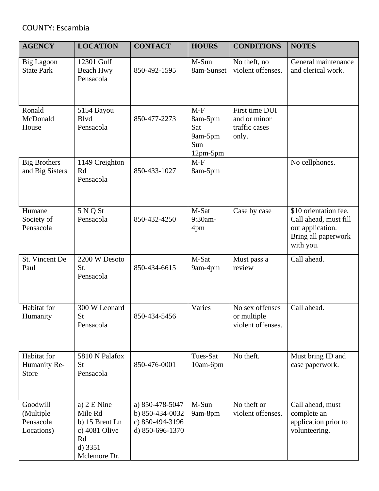## COUNTY: Escambia

| <b>AGENCY</b>                                    | <b>LOCATION</b>                                                                              | <b>CONTACT</b>                                                           | <b>HOURS</b>                                            | <b>CONDITIONS</b>                                        | <b>NOTES</b>                                                                                           |
|--------------------------------------------------|----------------------------------------------------------------------------------------------|--------------------------------------------------------------------------|---------------------------------------------------------|----------------------------------------------------------|--------------------------------------------------------------------------------------------------------|
| <b>Big Lagoon</b><br><b>State Park</b>           | 12301 Gulf<br><b>Beach Hwy</b><br>Pensacola                                                  | 850-492-1595                                                             | M-Sun<br>8am-Sunset                                     | No theft, no<br>violent offenses.                        | General maintenance<br>and clerical work.                                                              |
| Ronald<br>McDonald<br>House                      | 5154 Bayou<br><b>B</b> lvd<br>Pensacola                                                      | 850-477-2273                                                             | $M-F$<br>8am-5pm<br>Sat<br>9am-5pm<br>Sun<br>$12pm-5pm$ | First time DUI<br>and or minor<br>traffic cases<br>only. |                                                                                                        |
| <b>Big Brothers</b><br>and Big Sisters           | 1149 Creighton<br>Rd<br>Pensacola                                                            | 850-433-1027                                                             | $M-F$<br>8am-5pm                                        |                                                          | No cellphones.                                                                                         |
| Humane<br>Society of<br>Pensacola                | 5 N Q St<br>Pensacola                                                                        | 850-432-4250                                                             | M-Sat<br>9:30am-<br>4pm                                 | Case by case                                             | \$10 orientation fee.<br>Call ahead, must fill<br>out application.<br>Bring all paperwork<br>with you. |
| St. Vincent De<br>Paul                           | 2200 W Desoto<br>St.<br>Pensacola                                                            | 850-434-6615                                                             | M-Sat<br>9am-4pm                                        | Must pass a<br>review                                    | Call ahead.                                                                                            |
| Habitat for<br>Humanity                          | 300 W Leonard<br><b>St</b><br>Pensacola                                                      | 850-434-5456                                                             | Varies                                                  | No sex offenses<br>or multiple<br>violent offenses.      | Call ahead.                                                                                            |
| Habitat for<br>Humanity Re-<br><b>Store</b>      | 5810 N Palafox<br>St<br>Pensacola                                                            | 850-476-0001                                                             | Tues-Sat<br>10am-6pm                                    | No theft.                                                | Must bring ID and<br>case paperwork.                                                                   |
| Goodwill<br>(Multiple<br>Pensacola<br>Locations) | a) 2 E Nine<br>Mile Rd<br>b) 15 Brent Ln<br>c) 4081 Olive<br>Rd<br>$d)$ 3351<br>Mclemore Dr. | a) 850-478-5047<br>b) 850-434-0032<br>c) 850-494-3196<br>d) 850-696-1370 | M-Sun<br>9am-8pm                                        | No theft or<br>violent offenses.                         | Call ahead, must<br>complete an<br>application prior to<br>volunteering.                               |